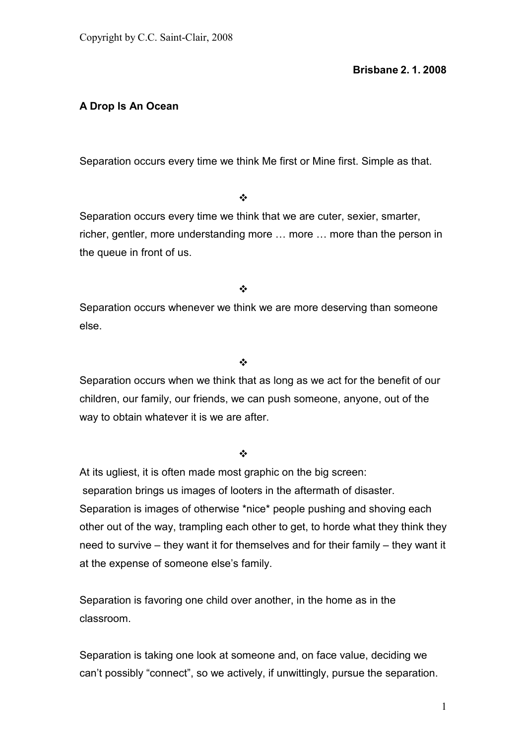# **A Drop Is An Ocean**

Separation occurs every time we think Me first or Mine first. Simple as that.

#### $\frac{1}{2}$

Separation occurs every time we think that we are cuter, sexier, smarter, richer, gentler, more understanding more … more … more than the person in the queue in front of us.

 $\frac{1}{2}$ 

Separation occurs whenever we think we are more deserving than someone else.

## $\bullet^{\bullet}_{\bullet} \bullet$

Separation occurs when we think that as long as we act for the benefit of our children, our family, our friends, we can push someone, anyone, out of the way to obtain whatever it is we are after.

## $\frac{1}{2}$

At its ugliest, it is often made most graphic on the big screen: separation brings us images of looters in the aftermath of disaster. Separation is images of otherwise \*nice\* people pushing and shoving each other out of the way, trampling each other to get, to horde what they think they need to survive – they want it for themselves and for their family – they want it at the expense of someone else's family.

Separation is favoring one child over another, in the home as in the classroom.

Separation is taking one look at someone and, on face value, deciding we can't possibly "connect", so we actively, if unwittingly, pursue the separation.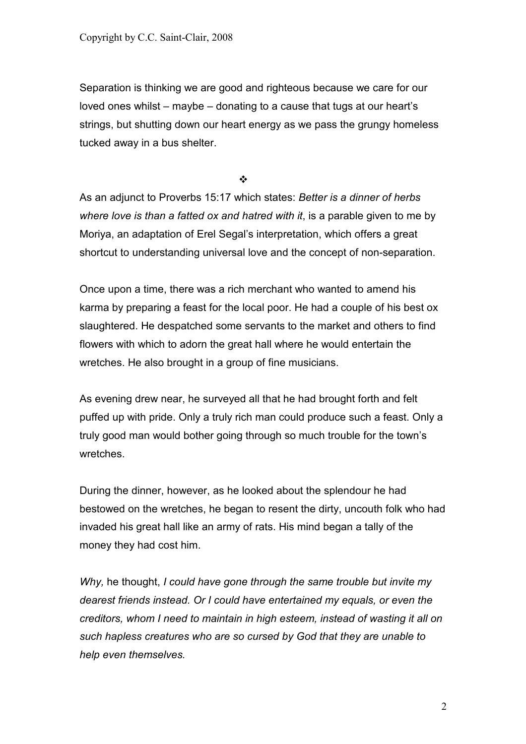Separation is thinking we are good and righteous because we care for our loved ones whilst – maybe – donating to a cause that tugs at our heart's strings, but shutting down our heart energy as we pass the grungy homeless tucked away in a bus shelter.

 $\bullet^*_{\mathcal{A}}$ 

As an adjunct to Proverbs 15:17 which states: *Better is a dinner of herbs where love is than a fatted ox and hatred with it*, is a parable given to me by Moriya, an adaptation of Erel Segal's interpretation, which offers a great shortcut to understanding universal love and the concept of non-separation.

Once upon a time, there was a rich merchant who wanted to amend his karma by preparing a feast for the local poor. He had a couple of his best ox slaughtered. He despatched some servants to the market and others to find flowers with which to adorn the great hall where he would entertain the wretches. He also brought in a group of fine musicians.

As evening drew near, he surveyed all that he had brought forth and felt puffed up with pride. Only a truly rich man could produce such a feast. Only a truly good man would bother going through so much trouble for the town's wretches.

During the dinner, however, as he looked about the splendour he had bestowed on the wretches, he began to resent the dirty, uncouth folk who had invaded his great hall like an army of rats. His mind began a tally of the money they had cost him.

*Why,* he thought, *I could have gone through the same trouble but invite my dearest friends instead. Or I could have entertained my equals, or even the creditors, whom I need to maintain in high esteem, instead of wasting it all on such hapless creatures who are so cursed by God that they are unable to help even themselves.*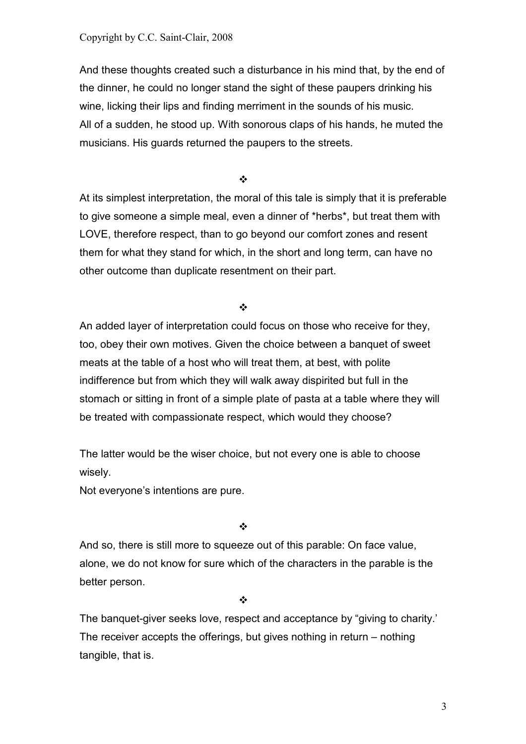Copyright by C.C. Saint-Clair, 2008

And these thoughts created such a disturbance in his mind that, by the end of the dinner, he could no longer stand the sight of these paupers drinking his wine, licking their lips and finding merriment in the sounds of his music. All of a sudden, he stood up. With sonorous claps of his hands, he muted the musicians. His guards returned the paupers to the streets.

 $\bullet^{\bullet}_{\bullet} \bullet$ 

At its simplest interpretation, the moral of this tale is simply that it is preferable to give someone a simple meal, even a dinner of \*herbs\*, but treat them with LOVE, therefore respect, than to go beyond our comfort zones and resent them for what they stand for which, in the short and long term, can have no other outcome than duplicate resentment on their part.

 $\bullet^{\bullet}_{\bullet} \bullet$ 

An added layer of interpretation could focus on those who receive for they, too, obey their own motives. Given the choice between a banquet of sweet meats at the table of a host who will treat them, at best, with polite indifference but from which they will walk away dispirited but full in the stomach or sitting in front of a simple plate of pasta at a table where they will be treated with compassionate respect, which would they choose?

The latter would be the wiser choice, but not every one is able to choose wisely.

Not everyone's intentions are pure.

 $\frac{1}{2}$ 

And so, there is still more to squeeze out of this parable: On face value, alone, we do not know for sure which of the characters in the parable is the better person.

 $\frac{1}{2}$ 

The banquet-giver seeks love, respect and acceptance by "giving to charity.' The receiver accepts the offerings, but gives nothing in return – nothing tangible, that is.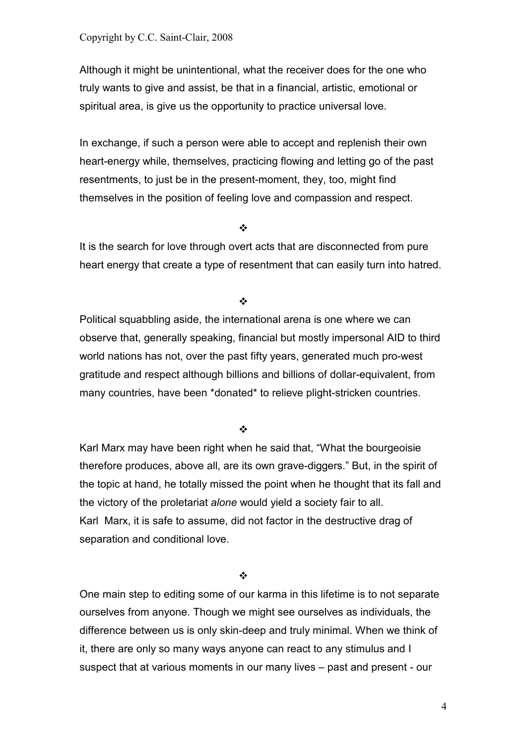Although it might be unintentional, what the receiver does for the one who truly wants to give and assist, be that in a financial, artistic, emotional or spiritual area, is give us the opportunity to practice universal love.

In exchange, if such a person were able to accept and replenish their own heart-energy while, themselves, practicing flowing and letting go of the past resentments, to just be in the present-moment, they, too, might find themselves in the position of feeling love and compassion and respect.

 $\bullet^{\bullet}_{\mathbf{a}^{\bullet}}$ 

It is the search for love through overt acts that are disconnected from pure heart energy that create a type of resentment that can easily turn into hatred.

 $\bullet$ 

Political squabbling aside, the international arena is one where we can observe that, generally speaking, financial but mostly impersonal AID to third world nations has not, over the past fifty years, generated much pro-west gratitude and respect although billions and billions of dollar-equivalent, from many countries, have been \*donated\* to relieve plight-stricken countries.

 $\bullet^{\bullet}_{\bullet} \bullet$ 

Karl Marx may have been right when he said that, "What the bourgeoisie therefore produces, above all, are its own grave-diggers." But, in the spirit of the topic at hand, he totally missed the point when he thought that its fall and the victory of the proletariat *alone* would yield a society fair to all. Karl Marx, it is safe to assume, did not factor in the destructive drag of separation and conditional love.

 $\frac{1}{2}$ 

One main step to editing some of our karma in this lifetime is to not separate ourselves from anyone. Though we might see ourselves as individuals, the difference between us is only skin-deep and truly minimal. When we think of it, there are only so many ways anyone can react to any stimulus and I suspect that at various moments in our many lives – past and present - our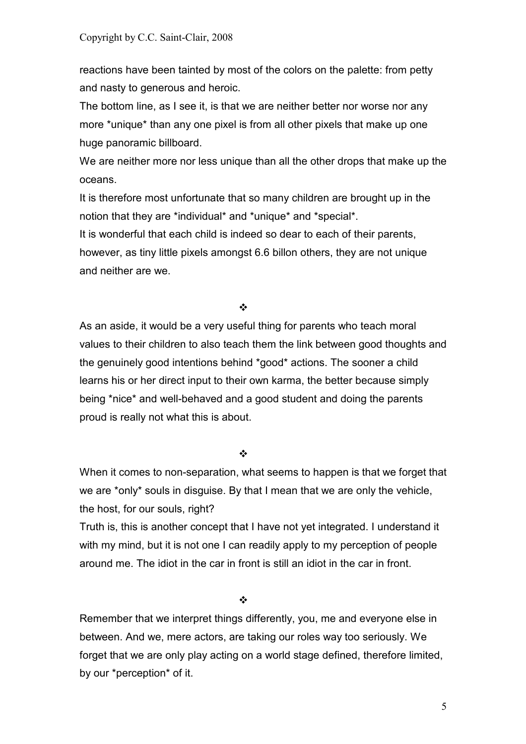reactions have been tainted by most of the colors on the palette: from petty and nasty to generous and heroic.

The bottom line, as I see it, is that we are neither better nor worse nor any more \*unique\* than any one pixel is from all other pixels that make up one huge panoramic billboard.

We are neither more nor less unique than all the other drops that make up the oceans.

It is therefore most unfortunate that so many children are brought up in the notion that they are \*individual\* and \*unique\* and \*special\*.

It is wonderful that each child is indeed so dear to each of their parents, however, as tiny little pixels amongst 6.6 billon others, they are not unique and neither are we.

 $\bullet^{\bullet}_{\bullet} \bullet$ 

As an aside, it would be a very useful thing for parents who teach moral values to their children to also teach them the link between good thoughts and the genuinely good intentions behind \*good\* actions. The sooner a child learns his or her direct input to their own karma, the better because simply being \*nice\* and well-behaved and a good student and doing the parents proud is really not what this is about.

 $\bullet^{\bullet}_{\bullet} \bullet$ 

When it comes to non-separation, what seems to happen is that we forget that we are \*only\* souls in disguise. By that I mean that we are only the vehicle, the host, for our souls, right?

Truth is, this is another concept that I have not yet integrated. I understand it with my mind, but it is not one I can readily apply to my perception of people around me. The idiot in the car in front is still an idiot in the car in front.

 $\frac{1}{2}$ 

Remember that we interpret things differently, you, me and everyone else in between. And we, mere actors, are taking our roles way too seriously. We forget that we are only play acting on a world stage defined, therefore limited, by our \*perception\* of it.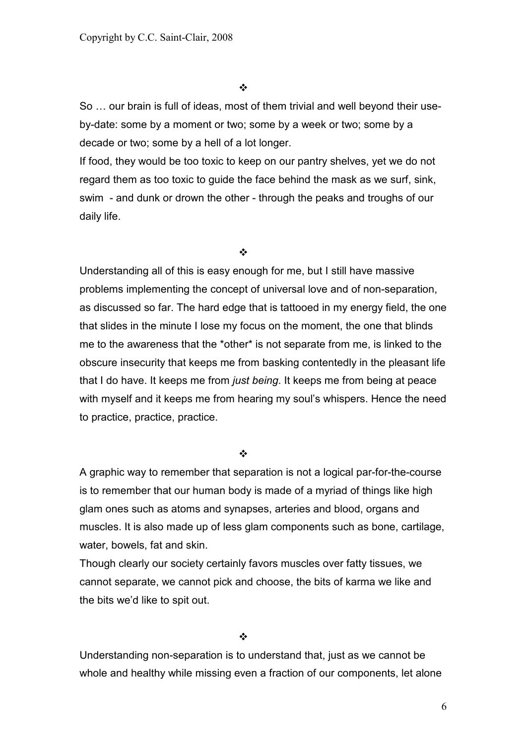So … our brain is full of ideas, most of them trivial and well beyond their useby-date: some by a moment or two; some by a week or two; some by a decade or two; some by a hell of a lot longer.

If food, they would be too toxic to keep on our pantry shelves, yet we do not regard them as too toxic to guide the face behind the mask as we surf, sink, swim - and dunk or drown the other - through the peaks and troughs of our daily life.

 $\bullet^{\bullet}_{\bullet} \bullet$ 

Understanding all of this is easy enough for me, but I still have massive problems implementing the concept of universal love and of non-separation, as discussed so far. The hard edge that is tattooed in my energy field, the one that slides in the minute I lose my focus on the moment, the one that blinds me to the awareness that the \*other\* is not separate from me, is linked to the obscure insecurity that keeps me from basking contentedly in the pleasant life that I do have. It keeps me from *just being*. It keeps me from being at peace with myself and it keeps me from hearing my soul's whispers. Hence the need to practice, practice, practice.

 $\frac{1}{2}$ 

A graphic way to remember that separation is not a logical par-for-the-course is to remember that our human body is made of a myriad of things like high glam ones such as atoms and synapses, arteries and blood, organs and muscles. It is also made up of less glam components such as bone, cartilage, water, bowels, fat and skin.

Though clearly our society certainly favors muscles over fatty tissues, we cannot separate, we cannot pick and choose, the bits of karma we like and the bits we'd like to spit out.

 $\ddot{\cdot}$ 

Understanding non-separation is to understand that, just as we cannot be whole and healthy while missing even a fraction of our components, let alone

 $\sim$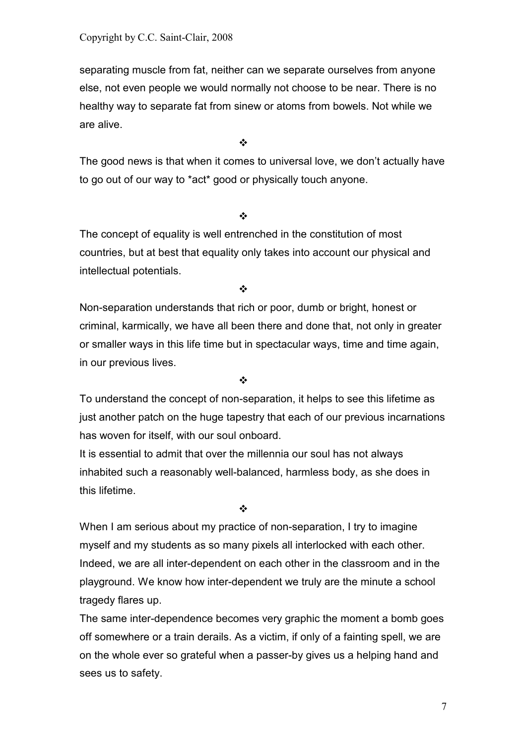separating muscle from fat, neither can we separate ourselves from anyone else, not even people we would normally not choose to be near. There is no healthy way to separate fat from sinew or atoms from bowels. Not while we are alive.

 $\frac{1}{2}$ 

The good news is that when it comes to universal love, we don't actually have to go out of our way to \*act\* good or physically touch anyone.

#### $\frac{1}{2}$

The concept of equality is well entrenched in the constitution of most countries, but at best that equality only takes into account our physical and intellectual potentials.

 $\frac{1}{2}$ 

Non-separation understands that rich or poor, dumb or bright, honest or criminal, karmically, we have all been there and done that, not only in greater or smaller ways in this life time but in spectacular ways, time and time again, in our previous lives.

 $\frac{1}{2}$ 

To understand the concept of non-separation, it helps to see this lifetime as just another patch on the huge tapestry that each of our previous incarnations has woven for itself, with our soul onboard.

It is essential to admit that over the millennia our soul has not always inhabited such a reasonably well-balanced, harmless body, as she does in this lifetime.

 $\frac{1}{2}$ 

When I am serious about my practice of non-separation, I try to imagine myself and my students as so many pixels all interlocked with each other. Indeed, we are all inter-dependent on each other in the classroom and in the playground. We know how inter-dependent we truly are the minute a school tragedy flares up.

The same inter-dependence becomes very graphic the moment a bomb goes off somewhere or a train derails. As a victim, if only of a fainting spell, we are on the whole ever so grateful when a passer-by gives us a helping hand and sees us to safety.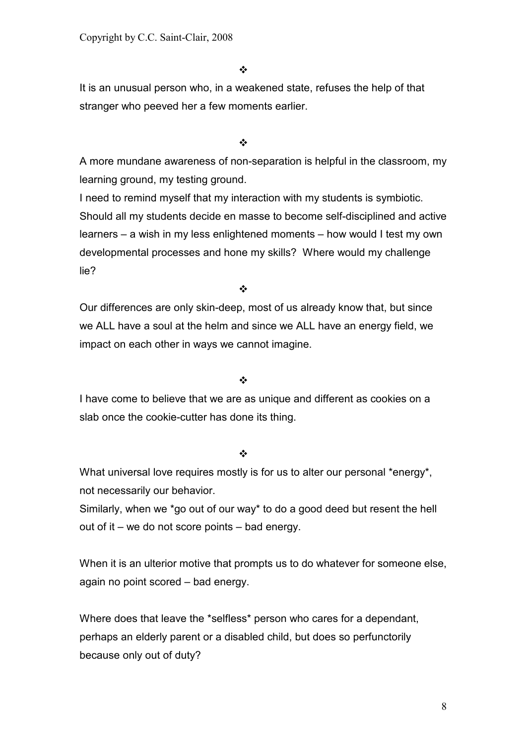It is an unusual person who, in a weakened state, refuses the help of that stranger who peeved her a few moments earlier.

 $\frac{1}{2}$ 

A more mundane awareness of non-separation is helpful in the classroom, my learning ground, my testing ground.

I need to remind myself that my interaction with my students is symbiotic. Should all my students decide en masse to become self-disciplined and active learners – a wish in my less enlightened moments – how would I test my own developmental processes and hone my skills? Where would my challenge lie?

 $\frac{1}{2}$ 

Our differences are only skin-deep, most of us already know that, but since we ALL have a soul at the helm and since we ALL have an energy field, we impact on each other in ways we cannot imagine.

## $\frac{1}{2}$

I have come to believe that we are as unique and different as cookies on a slab once the cookie-cutter has done its thing.

## $\bullet^{\bullet}_{\bullet} \bullet$

What universal love requires mostly is for us to alter our personal \*energy\*, not necessarily our behavior.

Similarly, when we \*go out of our way\* to do a good deed but resent the hell out of it – we do not score points – bad energy.

When it is an ulterior motive that prompts us to do whatever for someone else, again no point scored – bad energy.

Where does that leave the \*selfless\* person who cares for a dependant, perhaps an elderly parent or a disabled child, but does so perfunctorily because only out of duty?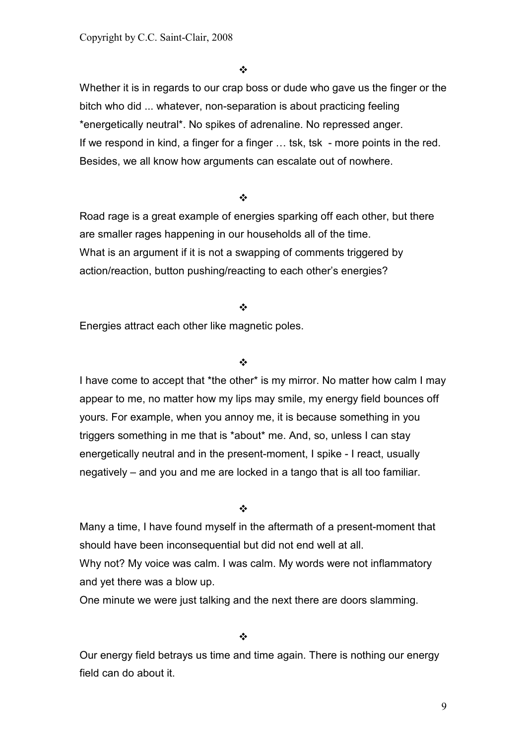Whether it is in regards to our crap boss or dude who gave us the finger or the bitch who did ... whatever, non-separation is about practicing feeling \*energetically neutral\*. No spikes of adrenaline. No repressed anger. If we respond in kind, a finger for a finger … tsk, tsk - more points in the red. Besides, we all know how arguments can escalate out of nowhere.

 $\frac{1}{2}$ 

Road rage is a great example of energies sparking off each other, but there are smaller rages happening in our households all of the time. What is an argument if it is not a swapping of comments triggered by action/reaction, button pushing/reacting to each other's energies?

 $\frac{1}{2}$ 

Energies attract each other like magnetic poles.

#### $\ddot{\cdot}$

I have come to accept that \*the other\* is my mirror. No matter how calm I may appear to me, no matter how my lips may smile, my energy field bounces off yours. For example, when you annoy me, it is because something in you triggers something in me that is \*about\* me. And, so, unless I can stay energetically neutral and in the present-moment, I spike - I react, usually negatively – and you and me are locked in a tango that is all too familiar.

#### $\frac{1}{2}$

Many a time, I have found myself in the aftermath of a present-moment that should have been inconsequential but did not end well at all. Why not? My voice was calm. I was calm. My words were not inflammatory and yet there was a blow up.

One minute we were just talking and the next there are doors slamming.

 $\cdot$ 

Our energy field betrays us time and time again. There is nothing our energy field can do about it.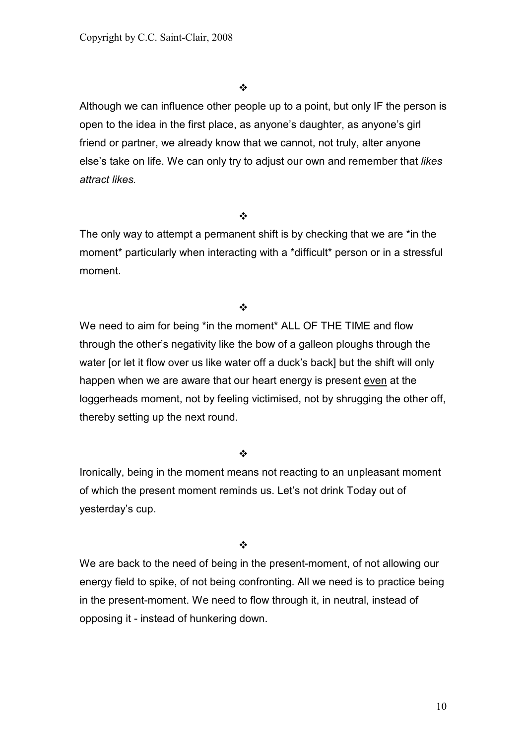Although we can influence other people up to a point, but only IF the person is open to the idea in the first place, as anyone's daughter, as anyone's girl friend or partner, we already know that we cannot, not truly, alter anyone else's take on life. We can only try to adjust our own and remember that *likes attract likes.*

 $\frac{1}{2}$ 

The only way to attempt a permanent shift is by checking that we are \*in the moment\* particularly when interacting with a \*difficult\* person or in a stressful moment.

 $\bullet^{\bullet}_{\bullet} \bullet$ 

We need to aim for being \*in the moment\* ALL OF THE TIME and flow through the other's negativity like the bow of a galleon ploughs through the water [or let it flow over us like water off a duck's back] but the shift will only happen when we are aware that our heart energy is present even at the loggerheads moment, not by feeling victimised, not by shrugging the other off, thereby setting up the next round.

 $\bullet^{\bullet}_{\bullet} \bullet$ 

Ironically, being in the moment means not reacting to an unpleasant moment of which the present moment reminds us. Let's not drink Today out of yesterday's cup.

 $\bullet^{\bullet}_{\Phi}$ 

We are back to the need of being in the present-moment, of not allowing our energy field to spike, of not being confronting. All we need is to practice being in the present-moment. We need to flow through it, in neutral, instead of opposing it - instead of hunkering down.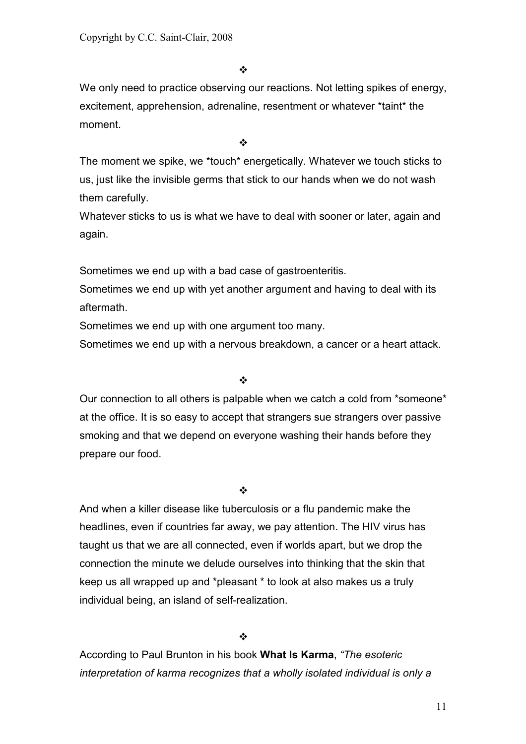We only need to practice observing our reactions. Not letting spikes of energy, excitement, apprehension, adrenaline, resentment or whatever \*taint\* the moment.

 $\phi^{\bullet}_{\mathcal{A}}$ 

The moment we spike, we \*touch\* energetically. Whatever we touch sticks to us, just like the invisible germs that stick to our hands when we do not wash them carefully.

Whatever sticks to us is what we have to deal with sooner or later, again and again.

Sometimes we end up with a bad case of gastroenteritis.

Sometimes we end up with yet another argument and having to deal with its aftermath.

Sometimes we end up with one argument too many.

Sometimes we end up with a nervous breakdown, a cancer or a heart attack.

## $\frac{1}{2}$

Our connection to all others is palpable when we catch a cold from \*someone\* at the office. It is so easy to accept that strangers sue strangers over passive smoking and that we depend on everyone washing their hands before they prepare our food.

 $\frac{1}{2}$ 

And when a killer disease like tuberculosis or a flu pandemic make the headlines, even if countries far away, we pay attention. The HIV virus has taught us that we are all connected, even if worlds apart, but we drop the connection the minute we delude ourselves into thinking that the skin that keep us all wrapped up and \*pleasant \* to look at also makes us a truly individual being, an island of self-realization.

❖

According to Paul Brunton in his book **What Is Karma**, *"The esoteric interpretation of karma recognizes that a wholly isolated individual is only a*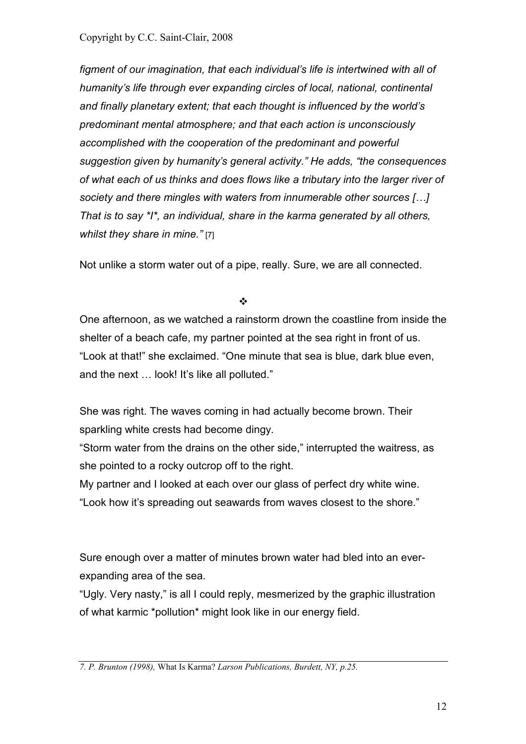Copyright by C.C. Saint-Clair, 2008

*figment of our imagination, that each individual's life is intertwined with all of humanity's life through ever expanding circles of local, national, continental and finally planetary extent; that each thought is influenced by the world's predominant mental atmosphere; and that each action is unconsciously accomplished with the cooperation of the predominant and powerful suggestion given by humanity's general activity." He adds, "the consequences of what each of us thinks and does flows like a tributary into the larger river of society and there mingles with waters from innumerable other sources […] That is to say \*I\*, an individual, share in the karma generated by all others, whilst they share in mine."* [7]

Not unlike a storm water out of a pipe, really. Sure, we are all connected.

 $\cdot$ 

One afternoon, as we watched a rainstorm drown the coastline from inside the shelter of a beach cafe, my partner pointed at the sea right in front of us. "Look at that!" she exclaimed. "One minute that sea is blue, dark blue even, and the next … look! It's like all polluted."

She was right. The waves coming in had actually become brown. Their sparkling white crests had become dingy.

"Storm water from the drains on the other side," interrupted the waitress, as she pointed to a rocky outcrop off to the right.

My partner and I looked at each over our glass of perfect dry white wine. "Look how it's spreading out seawards from waves closest to the shore."

Sure enough over a matter of minutes brown water had bled into an everexpanding area of the sea.

"Ugly. Very nasty," is all I could reply, mesmerized by the graphic illustration of what karmic \*pollution\* might look like in our energy field.

*<sup>7.</sup> P. Brunton (1998),* What Is Karma? *Larson Publications, Burdett, NY, p.25.*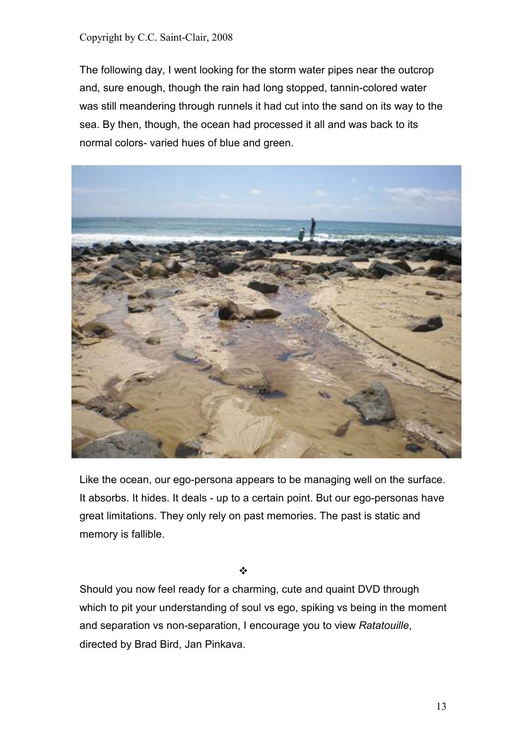#### Copyright by C.C. Saint-Clair, 2008

The following day, I went looking for the storm water pipes near the outcrop and, sure enough, though the rain had long stopped, tannin-colored water was still meandering through runnels it had cut into the sand on its way to the sea. By then, though, the ocean had processed it all and was back to its normal colors- varied hues of blue and green.



Like the ocean, our ego-persona appears to be managing well on the surface. It absorbs. It hides. It deals - up to a certain point. But our ego-personas have great limitations. They only rely on past memories. The past is static and memory is fallible.

❖

Should you now feel ready for a charming, cute and quaint DVD through which to pit your understanding of soul vs ego, spiking vs being in the moment and separation vs non-separation, I encourage you to view *Ratatouille*, directed by Brad Bird, Jan Pinkava.